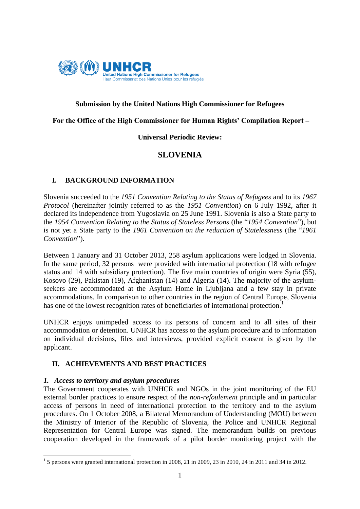

# **Submission by the United Nations High Commissioner for Refugees**

## **For the Office of the High Commissioner for Human Rights' Compilation Report –**

# **Universal Periodic Review:**

# **SLOVENIA**

# **I. BACKGROUND INFORMATION**

Slovenia succeeded to the *1951 Convention Relating to the Status of Refugees* and to its *1967 Protocol* (hereinafter jointly referred to as the *1951 Convention*) on 6 July 1992, after it declared its independence from Yugoslavia on 25 June 1991. Slovenia is also a State party to the *1954 Convention Relating to the Status of Stateless Persons* (the "*1954 Convention*"), but is not yet a State party to the *1961 Convention on the reduction of Statelessness* (the "*1961 Convention*").

Between 1 January and 31 October 2013, 258 asylum applications were lodged in Slovenia. In the same period, 32 persons were provided with international protection (18 with refugee status and 14 with subsidiary protection). The five main countries of origin were Syria (55), Kosovo (29), Pakistan (19), Afghanistan (14) and Algeria (14). The majority of the asylumseekers are accommodated at the Asylum Home in Ljubljana and a few stay in private accommodations. In comparison to other countries in the region of Central Europe, Slovenia has one of the lowest recognition rates of beneficiaries of international protection.<sup>1</sup>

UNHCR enjoys unimpeded access to its persons of concern and to all sites of their accommodation or detention. UNHCR has access to the asylum procedure and to information on individual decisions, files and interviews, provided explicit consent is given by the applicant.

# **II. ACHIEVEMENTS AND BEST PRACTICES**

#### *1. Access to territory and asylum procedures*

The Government cooperates with UNHCR and NGOs in the joint monitoring of the EU external border practices to ensure respect of the *non-refoulement* principle and in particular access of persons in need of international protection to the territory and to the asylum procedures. On 1 October 2008, a Bilateral Memorandum of Understanding (MOU) between the Ministry of Interior of the Republic of Slovenia, the Police and UNHCR Regional Representation for Central Europe was signed. The memorandum builds on previous cooperation developed in the framework of a pilot border monitoring project with the

 1 5 persons were granted international protection in 2008, 21 in 2009, 23 in 2010, 24 in 2011 and 34 in 2012.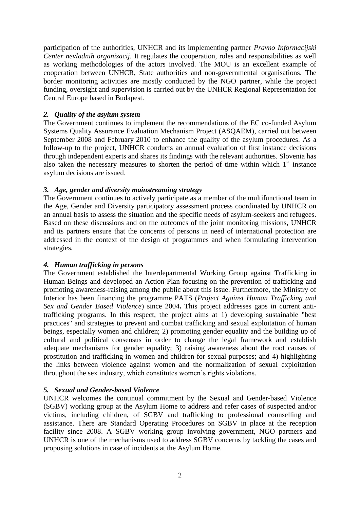participation of the authorities, UNHCR and its implementing partner *Pravno Informacijski Center nevladnih organizacij.* It regulates the cooperation, roles and responsibilities as well as working methodologies of the actors involved. The MOU is an excellent example of cooperation between UNHCR, State authorities and non-governmental organisations. The border monitoring activities are mostly conducted by the NGO partner, while the project funding, oversight and supervision is carried out by the UNHCR Regional Representation for Central Europe based in Budapest.

# *2. Quality of the asylum system*

The Government continues to implement the recommendations of the EC co-funded Asylum Systems Quality Assurance Evaluation Mechanism Project (ASQAEM), carried out between September 2008 and February 2010 to enhance the quality of the asylum procedures. As a follow-up to the project, UNHCR conducts an annual evaluation of first instance decisions through independent experts and shares its findings with the relevant authorities. Slovenia has also taken the necessary measures to shorten the period of time within which  $1<sup>st</sup>$  instance asylum decisions are issued.

# *3. Age, gender and diversity mainstreaming strategy*

The Government continues to actively participate as a member of the multifunctional team in the Age, Gender and Diversity participatory assessment process coordinated by UNHCR on an annual basis to assess the situation and the specific needs of asylum-seekers and refugees. Based on these discussions and on the outcomes of the joint monitoring missions, UNHCR and its partners ensure that the concerns of persons in need of international protection are addressed in the context of the design of programmes and when formulating intervention strategies.

# *4. Human trafficking in persons*

The Government established the Interdepartmental Working Group against Trafficking in Human Beings and developed an Action Plan focusing on the prevention of trafficking and promoting awareness-raising among the public about this issue. Furthermore, the Ministry of Interior has been financing the programme PATS (*Project Against Human Trafficking and Sex and Gender Based Violence*) since 2004**.** This project addresses gaps in current antitrafficking programs. In this respect, the project aims at 1) developing sustainable "best practices" and strategies to prevent and combat trafficking and sexual exploitation of human beings, especially women and children; 2) promoting gender equality and the building up of cultural and political consensus in order to change the legal framework and establish adequate mechanisms for gender equality; 3) raising awareness about the root causes of prostitution and trafficking in women and children for sexual purposes; and 4) highlighting the links between violence against women and the normalization of sexual exploitation throughout the sex industry, which constitutes women's rights violations.

# *5. Sexual and Gender-based Violence*

UNHCR welcomes the continual commitment by the Sexual and Gender-based Violence (SGBV) working group at the Asylum Home to address and refer cases of suspected and/or victims, including children, of SGBV and trafficking to professional counselling and assistance. There are Standard Operating Procedures on SGBV in place at the reception facility since 2008. A SGBV working group involving government, NGO partners and UNHCR is one of the mechanisms used to address SGBV concerns by tackling the cases and proposing solutions in case of incidents at the Asylum Home.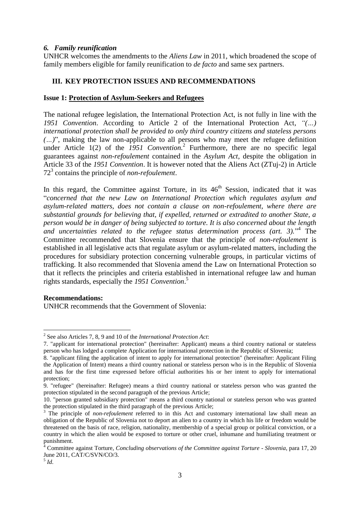#### *6. Family reunification*

UNHCR welcomes the amendments to the *Aliens Law* in 2011, which broadened the scope of family members eligible for family reunification to *de facto* and same sex partners.

# **III. KEY PROTECTION ISSUES AND RECOMMENDATIONS**

#### **Issue 1: Protection of Asylum-Seekers and Refugees**

The national refugee legislation, the International Protection Act, is not fully in line with the *1951 Convention*. According to Article 2 of the International Protection Act, *"(…) international protection shall be provided to only third country citizens and stateless persons (…)*", making the law non-applicable to all persons who may meet the refugee definition under Article 1(2) of the *1951 Convention*.<sup>2</sup> Furthermore, there are no specific legal guarantees against *non-refoulement* contained in the *Asylum Act*, despite the obligation in Article 33 of the *1951 Convention*. It is however noted that the Aliens Act (ZTuj-2) in Article 72<sup>3</sup> contains the principle of *non-refoulement*.

In this regard, the Committee against Torture, in its  $46<sup>th</sup>$  Session, indicated that it was "*concerned that the new Law on International Protection which regulates asylum and asylum-related matters, does not contain a clause on non-refoulement, where there are substantial grounds for believing that, if expelled, returned or extradited to another State, a person would be in danger of being subjected to torture. It is also concerned about the length and uncertainties related to the refugee status determination process (art. 3).*" 4 The Committee recommended that Slovenia ensure that the principle of *non-refoulement* is established in all legislative acts that regulate asylum or asylum-related matters, including the procedures for subsidiary protection concerning vulnerable groups, in particular victims of trafficking. It also recommended that Slovenia amend the Law on International Protection so that it reflects the principles and criteria established in international refugee law and human rights standards, especially the *1951 Convention*. 5

#### **Recommendations:**

UNHCR recommends that the Government of Slovenia:

1

<sup>2</sup> See also Articles 7, 8, 9 and 10 of the *International Protection Act*:

<sup>7. &</sup>quot;applicant for international protection" (hereinafter: Applicant) means a third country national or stateless person who has lodged a complete Application for international protection in the Republic of Slovenia;

<sup>8. &</sup>quot;applicant filing the application of intent to apply for international protection" (hereinafter: Applicant Filing the Application of Intent) means a third country national or stateless person who is in the Republic of Slovenia and has for the first time expressed before official authorities his or her intent to apply for international protection;

<sup>9. &</sup>quot;refugee" (hereinafter: Refugee) means a third country national or stateless person who was granted the protection stipulated in the second paragraph of the previous Article;

<sup>10. &</sup>quot;person granted subsidiary protection" means a third country national or stateless person who was granted the protection stipulated in the third paragraph of the previous Article;

<sup>&</sup>lt;sup>3</sup> The principle of *non-refoulement* referred to in this Act and customary international law shall mean an obligation of the Republic of Slovenia not to deport an alien to a country in which his life or freedom would be threatened on the basis of race, religion, nationality, membership of a special group or political conviction, or a country in which the alien would be exposed to torture or other cruel, inhumane and humiliating treatment or punishment.

<sup>4</sup> Committee against Torture, *Concluding observations of the Committee against Torture - Slovenia*, para 17, 20 June 2011, CAT/C/SVN/CO/3.

<sup>5</sup> *Id*.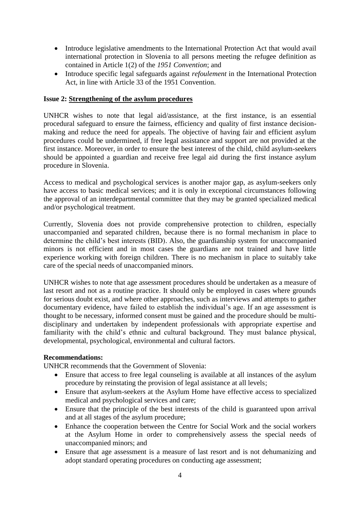- Introduce legislative amendments to the International Protection Act that would avail international protection in Slovenia to all persons meeting the refugee definition as contained in Article 1(2) of the *1951 Convention*; and
- Introduce specific legal safeguards against *refoulement* in the International Protection Act, in line with Article 33 of the 1951 Convention.

#### **Issue 2: Strengthening of the asylum procedures**

UNHCR wishes to note that legal aid/assistance, at the first instance, is an essential procedural safeguard to ensure the fairness, efficiency and quality of first instance decisionmaking and reduce the need for appeals. The objective of having fair and efficient asylum procedures could be undermined, if free legal assistance and support are not provided at the first instance. Moreover, in order to ensure the best interest of the child, child asylum-seekers should be appointed a guardian and receive free legal aid during the first instance asylum procedure in Slovenia.

Access to medical and psychological services is another major gap, as asylum-seekers only have access to basic medical services; and it is only in exceptional circumstances following the approval of an interdepartmental committee that they may be granted specialized medical and/or psychological treatment.

Currently, Slovenia does not provide comprehensive protection to children, especially unaccompanied and separated children, because there is no formal mechanism in place to determine the child's best interests (BID). Also, the guardianship system for unaccompanied minors is not efficient and in most cases the guardians are not trained and have little experience working with foreign children. There is no mechanism in place to suitably take care of the special needs of unaccompanied minors.

UNHCR wishes to note that age assessment procedures should be undertaken as a measure of last resort and not as a routine practice. It should only be employed in cases where grounds for serious doubt exist, and where other approaches, such as interviews and attempts to gather documentary evidence, have failed to establish the individual's age. If an age assessment is thought to be necessary, informed consent must be gained and the procedure should be multidisciplinary and undertaken by independent professionals with appropriate expertise and familiarity with the child's ethnic and cultural background. They must balance physical, developmental, psychological, environmental and cultural factors.

#### **Recommendations:**

UNHCR recommends that the Government of Slovenia:

- Ensure that access to free legal counseling is available at all instances of the asylum procedure by reinstating the provision of legal assistance at all levels;
- Ensure that asylum-seekers at the Asylum Home have effective access to specialized medical and psychological services and care;
- Ensure that the principle of the best interests of the child is guaranteed upon arrival and at all stages of the asylum procedure;
- Enhance the cooperation between the Centre for Social Work and the social workers at the Asylum Home in order to comprehensively assess the special needs of unaccompanied minors; and
- Ensure that age assessment is a measure of last resort and is not dehumanizing and adopt standard operating procedures on conducting age assessment;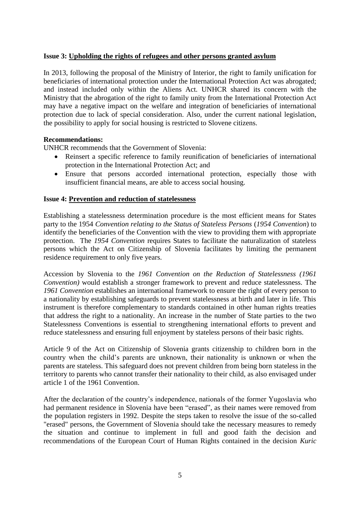## **Issue 3: Upholding the rights of refugees and other persons granted asylum**

In 2013, following the proposal of the Ministry of Interior, the right to family unification for beneficiaries of international protection under the International Protection Act was abrogated; and instead included only within the Aliens Act. UNHCR shared its concern with the Ministry that the abrogation of the right to family unity from the International Protection Act may have a negative impact on the welfare and integration of beneficiaries of international protection due to lack of special consideration. Also, under the current national legislation, the possibility to apply for social housing is restricted to Slovene citizens.

#### **Recommendations:**

UNHCR recommends that the Government of Slovenia:

- Reinsert a specific reference to family reunification of beneficiaries of international protection in the International Protection Act; and
- Ensure that persons accorded international protection, especially those with insufficient financial means, are able to access social housing.

#### **Issue 4: Prevention and reduction of statelessness**

Establishing a statelessness determination procedure is the most efficient means for States party to the 1954 *Convention relating to the Status of Stateless Persons* (*1954 Convention*) to identify the beneficiaries of the Convention with the view to providing them with appropriate protection. The *1954 Convention* requires States to facilitate the naturalization of stateless persons which the Act on Citizenship of Slovenia facilitates by limiting the permanent residence requirement to only five years.

Accession by Slovenia to the *1961 Convention on the Reduction of Statelessness (1961 Convention)* would establish a stronger framework to prevent and reduce statelessness. The *1961 Convention* establishes an international framework to ensure the right of every person to a nationality by establishing safeguards to prevent statelessness at birth and later in life. This instrument is therefore complementary to standards contained in other human rights treaties that address the right to a nationality. An increase in the number of State parties to the two Statelessness Conventions is essential to strengthening international efforts to prevent and reduce statelessness and ensuring full enjoyment by stateless persons of their basic rights.

Article 9 of the Act on Citizenship of Slovenia grants citizenship to children born in the country when the child's parents are unknown, their nationality is unknown or when the parents are stateless. This safeguard does not prevent children from being born stateless in the territory to parents who cannot transfer their nationality to their child, as also envisaged under article 1 of the 1961 Convention.

After the declaration of the country's independence, nationals of the former Yugoslavia who had permanent residence in Slovenia have been "erased", as their names were removed from the population registers in 1992. Despite the steps taken to resolve the issue of the so-called "erased" persons, the Government of Slovenia should take the necessary measures to remedy the situation and continue to implement in full and good faith the decision and recommendations of the European Court of Human Rights contained in the decision *Kuric*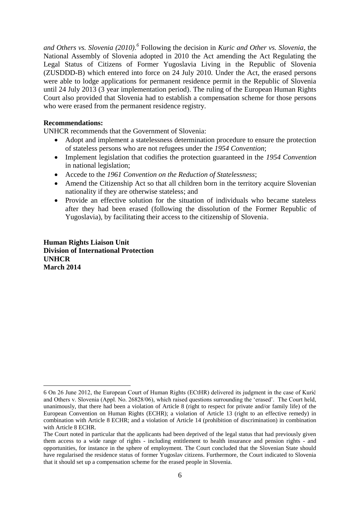*and Others vs. Slovenia (2010). 6* Following the decision in *Kuric and Other vs. Slovenia*, the National Assembly of Slovenia adopted in 2010 the Act amending the Act Regulating the Legal Status of Citizens of Former Yugoslavia Living in the Republic of Slovenia (ZUSDDD-B) which entered into force on 24 July 2010. Under the Act, the erased persons were able to lodge applications for permanent residence permit in the Republic of Slovenia until 24 July 2013 (3 year implementation period). The ruling of the European Human Rights Court also provided that Slovenia had to establish a compensation scheme for those persons who were erased from the permanent residence registry.

#### **Recommendations:**

UNHCR recommends that the Government of Slovenia:

- Adopt and implement a statelessness determination procedure to ensure the protection of stateless persons who are not refugees under the *1954 Convention*;
- Implement legislation that codifies the protection guaranteed in the *1954 Convention* in national legislation;
- Accede to the *1961 Convention on the Reduction of Statelessness*;
- Amend the Citizenship Act so that all children born in the territory acquire Slovenian nationality if they are otherwise stateless; and
- Provide an effective solution for the situation of individuals who became stateless after they had been erased (following the dissolution of the Former Republic of Yugoslavia), by facilitating their access to the citizenship of Slovenia.

**Human Rights Liaison Unit Division of International Protection UNHCR March 2014**

<sup>1</sup> 6 On 26 June 2012, the European Court of Human Rights (ECtHR) delivered its judgment in the case of Kurić and Others v. Slovenia (Appl. No. 26828/06), which raised questions surrounding the 'erased'. The Court held, unanimously, that there had been a violation of Article 8 (right to respect for private and/or family life) of the European Convention on Human Rights (ECHR); a violation of Article 13 (right to an effective remedy) in combination with Article 8 ECHR; and a violation of Article 14 (prohibition of discrimination) in combination with Article 8 ECHR.

The Court noted in particular that the applicants had been deprived of the legal status that had previously given them access to a wide range of rights - including entitlement to health insurance and pension rights - and opportunities, for instance in the sphere of employment. The Court concluded that the Slovenian State should have regularised the residence status of former Yugoslav citizens. Furthermore, the Court indicated to Slovenia that it should set up a compensation scheme for the erased people in Slovenia.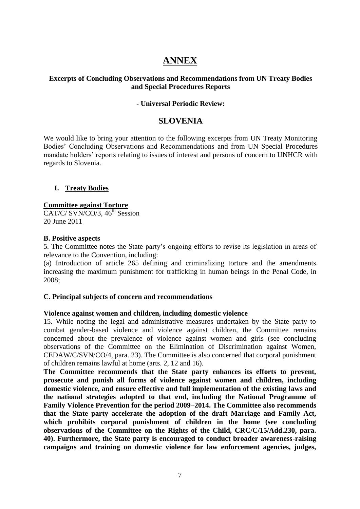# **ANNEX**

# **Excerpts of Concluding Observations and Recommendations from UN Treaty Bodies and Special Procedures Reports**

#### **- Universal Periodic Review:**

# **SLOVENIA**

We would like to bring your attention to the following excerpts from UN Treaty Monitoring Bodies' Concluding Observations and Recommendations and from UN Special Procedures mandate holders' reports relating to issues of interest and persons of concern to UNHCR with regards to Slovenia.

#### **I. Treaty Bodies**

## **Committee against Torture**

CAT/C/ SVN/CO/3,  $46<sup>th</sup>$  Session 20 June 2011

#### **B. Positive aspects**

5. The Committee notes the State party's ongoing efforts to revise its legislation in areas of relevance to the Convention, including:

(a) Introduction of article 265 defining and criminalizing torture and the amendments increasing the maximum punishment for trafficking in human beings in the Penal Code, in 2008;

#### **C. Principal subjects of concern and recommendations**

#### **Violence against women and children, including domestic violence**

15. While noting the legal and administrative measures undertaken by the State party to combat gender-based violence and violence against children, the Committee remains concerned about the prevalence of violence against women and girls (see concluding observations of the Committee on the Elimination of Discrimination against Women, CEDAW/C/SVN/CO/4, para. 23). The Committee is also concerned that corporal punishment of children remains lawful at home (arts. 2, 12 and 16).

**The Committee recommends that the State party enhances its efforts to prevent, prosecute and punish all forms of violence against women and children, including domestic violence, and ensure effective and full implementation of the existing laws and the national strategies adopted to that end, including the National Programme of Family Violence Prevention for the period 2009–2014. The Committee also recommends that the State party accelerate the adoption of the draft Marriage and Family Act, which prohibits corporal punishment of children in the home (see concluding observations of the Committee on the Rights of the Child, CRC/C/15/Add.230, para. 40). Furthermore, the State party is encouraged to conduct broader awareness-raising campaigns and training on domestic violence for law enforcement agencies, judges,**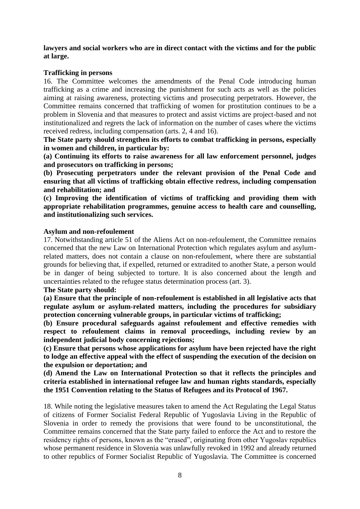**lawyers and social workers who are in direct contact with the victims and for the public at large.**

#### **Trafficking in persons**

16. The Committee welcomes the amendments of the Penal Code introducing human trafficking as a crime and increasing the punishment for such acts as well as the policies aiming at raising awareness, protecting victims and prosecuting perpetrators. However, the Committee remains concerned that trafficking of women for prostitution continues to be a problem in Slovenia and that measures to protect and assist victims are project-based and not institutionalized and regrets the lack of information on the number of cases where the victims received redress, including compensation (arts. 2, 4 and 16).

**The State party should strengthen its efforts to combat trafficking in persons, especially in women and children, in particular by:**

**(a) Continuing its efforts to raise awareness for all law enforcement personnel, judges and prosecutors on trafficking in persons;** 

**(b) Prosecuting perpetrators under the relevant provision of the Penal Code and ensuring that all victims of trafficking obtain effective redress, including compensation and rehabilitation; and** 

**(c) Improving the identification of victims of trafficking and providing them with appropriate rehabilitation programmes, genuine access to health care and counselling, and institutionalizing such services.**

#### **Asylum and non-refoulement**

17. Notwithstanding article 51 of the Aliens Act on non-refoulement, the Committee remains concerned that the new Law on International Protection which regulates asylum and asylumrelated matters, does not contain a clause on non-refoulement, where there are substantial grounds for believing that, if expelled, returned or extradited to another State, a person would be in danger of being subjected to torture. It is also concerned about the length and uncertainties related to the refugee status determination process (art. 3).

#### **The State party should:**

**(a) Ensure that the principle of non-refoulement is established in all legislative acts that regulate asylum or asylum-related matters, including the procedures for subsidiary protection concerning vulnerable groups, in particular victims of trafficking;** 

**(b) Ensure procedural safeguards against refoulement and effective remedies with respect to refoulement claims in removal proceedings, including review by an independent judicial body concerning rejections;** 

**(c) Ensure that persons whose applications for asylum have been rejected have the right to lodge an effective appeal with the effect of suspending the execution of the decision on the expulsion or deportation; and** 

**(d) Amend the Law on International Protection so that it reflects the principles and criteria established in international refugee law and human rights standards, especially the 1951 Convention relating to the Status of Refugees and its Protocol of 1967.**

18. While noting the legislative measures taken to amend the Act Regulating the Legal Status of citizens of Former Socialist Federal Republic of Yugoslavia Living in the Republic of Slovenia in order to remedy the provisions that were found to be unconstitutional, the Committee remains concerned that the State party failed to enforce the Act and to restore the residency rights of persons, known as the "erased", originating from other Yugoslav republics whose permanent residence in Slovenia was unlawfully revoked in 1992 and already returned to other republics of Former Socialist Republic of Yugoslavia. The Committee is concerned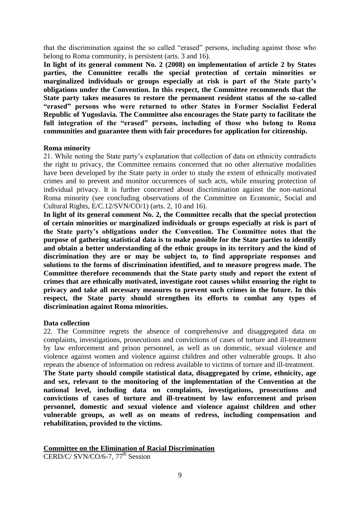that the discrimination against the so called "erased" persons, including against those who belong to Roma community, is persistent (arts. 3 and 16).

**In light of its general comment No. 2 (2008) on implementation of article 2 by States parties, the Committee recalls the special protection of certain minorities or marginalized individuals or groups especially at risk is part of the State party's obligations under the Convention. In this respect, the Committee recommends that the State party takes measures to restore the permanent resident status of the so-called "erased" persons who were returned to other States in Former Socialist Federal Republic of Yugoslavia. The Committee also encourages the State party to facilitate the full integration of the "erased" persons, including of those who belong to Roma communities and guarantee them with fair procedures for application for citizenship.**

#### **Roma minority**

21. While noting the State party's explanation that collection of data on ethnicity contradicts the right to privacy, the Committee remains concerned that no other alternative modalities have been developed by the State party in order to study the extent of ethnically motivated crimes and to prevent and monitor occurrences of such acts, while ensuring protection of individual privacy. It is further concerned about discrimination against the non-national Roma minority (see concluding observations of the Committee on Economic, Social and Cultural Rights, E/C.12/SVN/CO/1) (arts. 2, 10 and 16).

**In light of its general comment No. 2, the Committee recalls that the special protection of certain minorities or marginalized individuals or groups especially at risk is part of the State party's obligations under the Convention. The Committee notes that the purpose of gathering statistical data is to make possible for the State parties to identify and obtain a better understanding of the ethnic groups in its territory and the kind of discrimination they are or may be subject to, to find appropriate responses and solutions to the forms of discrimination identified, and to measure progress made. The Committee therefore recommends that the State party study and report the extent of crimes that are ethnically motivated, investigate root causes whilst ensuring the right to privacy and take all necessary measures to prevent such crimes in the future. In this respect, the State party should strengthen its efforts to combat any types of discrimination against Roma minorities.**

#### **Data collection**

22. The Committee regrets the absence of comprehensive and disaggregated data on complaints, investigations, prosecutions and convictions of cases of torture and ill-treatment by law enforcement and prison personnel, as well as on domestic, sexual violence and violence against women and violence against children and other vulnerable groups. It also repeats the absence of information on redress available to victims of torture and ill-treatment.

**The State party should compile statistical data, disaggregated by crime, ethnicity, age and sex, relevant to the monitoring of the implementation of the Convention at the national level, including data on complaints, investigations, prosecutions and convictions of cases of torture and ill-treatment by law enforcement and prison personnel, domestic and sexual violence and violence against children and other vulnerable groups, as well as on means of redress, including compensation and rehabilitation, provided to the victims.**

**Committee on the Elimination of Racial Discrimination**

CERD/C/ SVN/CO/6-7,  $77<sup>th</sup>$  Session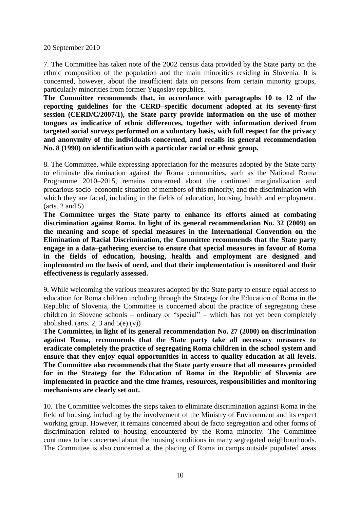#### 20 September 2010

7. The Committee has taken note of the 2002 census data provided by the State party on the ethnic composition of the population and the main minorities residing in Slovenia. It is concerned, however, about the insufficient data on persons from certain minority groups, particularly minorities from former Yugoslav republics.

**The Committee recommends that, in accordance with paragraphs 10 to 12 of the reporting guidelines for the CERD–specific document adopted at its seventy-first session (CERD/C/2007/1), the State party provide information on the use of mother tongues as indicative of ethnic differences, together with information derived from targeted social surveys performed on a voluntary basis, with full respect for the privacy and anonymity of the individuals concerned, and recalls its general recommendation No. 8 (1990) on identification with a particular racial or ethnic group.**

8. The Committee, while expressing appreciation for the measures adopted by the State party to eliminate discrimination against the Roma communities, such as the National Roma Programme 2010–2015, remains concerned about the continued marginalization and precarious socio–economic situation of members of this minority, and the discrimination with which they are faced, including in the fields of education, housing, health and employment. (arts. 2 and 5)

**The Committee urges the State party to enhance its efforts aimed at combating discrimination against Roma. In light of its general recommendation No. 32 (2009) on the meaning and scope of special measures in the International Convention on the Elimination of Racial Discrimination, the Committee recommends that the State party engage in a data–gathering exercise to ensure that special measures in favour of Roma in the fields of education, housing, health and employment are designed and implemented on the basis of need, and that their implementation is monitored and their effectiveness is regularly assessed.**

9. While welcoming the various measures adopted by the State party to ensure equal access to education for Roma children including through the Strategy for the Education of Roma in the Republic of Slovenia, the Committee is concerned about the practice of segregating these children in Slovene schools – ordinary or "special" – which has not yet been completely abolished. (arts. 2, 3 and  $5(e)$  (v))

**The Committee, in light of its general recommendation No. 27 (2000) on discrimination against Roma, recommends that the State party take all necessary measures to eradicate completely the practice of segregating Roma children in the school system and ensure that they enjoy equal opportunities in access to quality education at all levels. The Committee also recommends that the State party ensure that all measures provided for in the Strategy for the Education of Roma in the Republic of Slovenia are implemented in practice and the time frames, resources, responsibilities and monitoring mechanisms are clearly set out.**

10. The Committee welcomes the steps taken to eliminate discrimination against Roma in the field of housing, including by the involvement of the Ministry of Environment and its expert working group. However, it remains concerned about de facto segregation and other forms of discrimination related to housing encountered by the Roma minority. The Committee continues to be concerned about the housing conditions in many segregated neighbourhoods. The Committee is also concerned at the placing of Roma in camps outside populated areas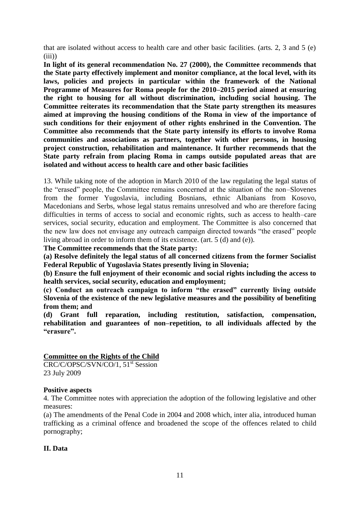that are isolated without access to health care and other basic facilities. (arts. 2, 3 and 5 (e)  $(iii)$ 

**In light of its general recommendation No. 27 (2000), the Committee recommends that the State party effectively implement and monitor compliance, at the local level, with its laws, policies and projects in particular within the framework of the National Programme of Measures for Roma people for the 2010–2015 period aimed at ensuring the right to housing for all without discrimination, including social housing. The Committee reiterates its recommendation that the State party strengthen its measures aimed at improving the housing conditions of the Roma in view of the importance of such conditions for their enjoyment of other rights enshrined in the Convention. The Committee also recommends that the State party intensify its efforts to involve Roma communities and associations as partners, together with other persons, in housing project construction, rehabilitation and maintenance. It further recommends that the State party refrain from placing Roma in camps outside populated areas that are isolated and without access to health care and other basic facilities**

13. While taking note of the adoption in March 2010 of the law regulating the legal status of the "erased" people, the Committee remains concerned at the situation of the non–Slovenes from the former Yugoslavia, including Bosnians, ethnic Albanians from Kosovo, Macedonians and Serbs, whose legal status remains unresolved and who are therefore facing difficulties in terms of access to social and economic rights, such as access to health–care services, social security, education and employment. The Committee is also concerned that the new law does not envisage any outreach campaign directed towards "the erased" people living abroad in order to inform them of its existence. (art. 5 (d) and (e)).

**The Committee recommends that the State party:** 

**(a) Resolve definitely the legal status of all concerned citizens from the former Socialist Federal Republic of Yugoslavia States presently living in Slovenia;** 

**(b) Ensure the full enjoyment of their economic and social rights including the access to health services, social security, education and employment;** 

**(c) Conduct an outreach campaign to inform "the erased" currently living outside Slovenia of the existence of the new legislative measures and the possibility of benefiting from them; and** 

**(d) Grant full reparation, including restitution, satisfaction, compensation, rehabilitation and guarantees of non–repetition, to all individuals affected by the "erasure".**

#### **Committee on the Rights of the Child**

CRC/C/OPSC/SVN/CO/1, 51<sup>st</sup> Session 23 July 2009

#### **Positive aspects**

4. The Committee notes with appreciation the adoption of the following legislative and other measures:

(a) The amendments of the Penal Code in 2004 and 2008 which, inter alia, introduced human trafficking as a criminal offence and broadened the scope of the offences related to child pornography;

#### **II. Data**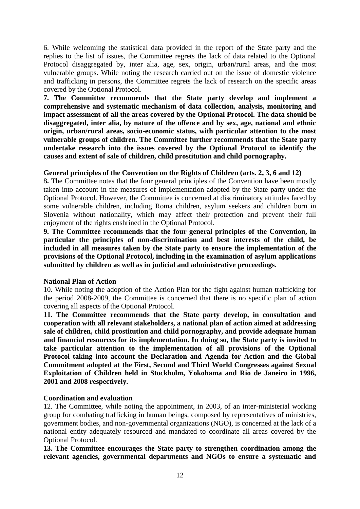6. While welcoming the statistical data provided in the report of the State party and the replies to the list of issues, the Committee regrets the lack of data related to the Optional Protocol disaggregated by, inter alia, age, sex, origin, urban/rural areas, and the most vulnerable groups. While noting the research carried out on the issue of domestic violence and trafficking in persons, the Committee regrets the lack of research on the specific areas covered by the Optional Protocol.

**7. The Committee recommends that the State party develop and implement a comprehensive and systematic mechanism of data collection, analysis, monitoring and impact assessment of all the areas covered by the Optional Protocol. The data should be disaggregated, inter alia, by nature of the offence and by sex, age, national and ethnic origin, urban/rural areas, socio-economic status, with particular attention to the most vulnerable groups of children. The Committee further recommends that the State party undertake research into the issues covered by the Optional Protocol to identify the causes and extent of sale of children, child prostitution and child pornography.**

#### **General principles of the Convention on the Rights of Children (arts. 2, 3, 6 and 12)**

8**.** The Committee notes that the four general principles of the Convention have been mostly taken into account in the measures of implementation adopted by the State party under the Optional Protocol. However, the Committee is concerned at discriminatory attitudes faced by some vulnerable children, including Roma children, asylum seekers and children born in Slovenia without nationality, which may affect their protection and prevent their full enjoyment of the rights enshrined in the Optional Protocol.

**9. The Committee recommends that the four general principles of the Convention, in particular the principles of non-discrimination and best interests of the child, be included in all measures taken by the State party to ensure the implementation of the provisions of the Optional Protocol, including in the examination of asylum applications submitted by children as well as in judicial and administrative proceedings.** 

#### **National Plan of Action**

10. While noting the adoption of the Action Plan for the fight against human trafficking for the period 2008-2009, the Committee is concerned that there is no specific plan of action covering all aspects of the Optional Protocol.

**11. The Committee recommends that the State party develop, in consultation and cooperation with all relevant stakeholders, a national plan of action aimed at addressing sale of children, child prostitution and child pornography, and provide adequate human and financial resources for its implementation. In doing so, the State party is invited to take particular attention to the implementation of all provisions of the Optional Protocol taking into account the Declaration and Agenda for Action and the Global Commitment adopted at the First, Second and Third World Congresses against Sexual Exploitation of Children held in Stockholm, Yokohama and Rio de Janeiro in 1996, 2001 and 2008 respectively.** 

# **Coordination and evaluation**

12. The Committee, while noting the appointment, in 2003, of an inter-ministerial working group for combating trafficking in human beings, composed by representatives of ministries, government bodies, and non-governmental organizations (NGO), is concerned at the lack of a national entity adequately resourced and mandated to coordinate all areas covered by the Optional Protocol.

**13. The Committee encourages the State party to strengthen coordination among the relevant agencies, governmental departments and NGOs to ensure a systematic and**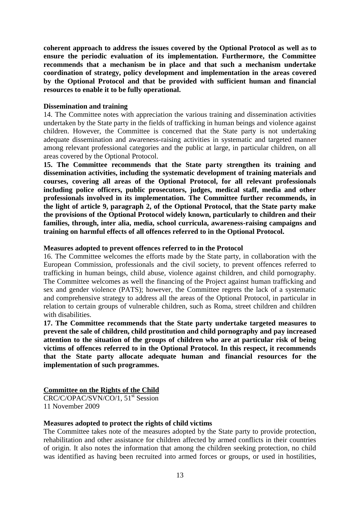**coherent approach to address the issues covered by the Optional Protocol as well as to ensure the periodic evaluation of its implementation. Furthermore, the Committee recommends that a mechanism be in place and that such a mechanism undertake coordination of strategy, policy development and implementation in the areas covered by the Optional Protocol and that be provided with sufficient human and financial resources to enable it to be fully operational.** 

#### **Dissemination and training**

14. The Committee notes with appreciation the various training and dissemination activities undertaken by the State party in the fields of trafficking in human beings and violence against children. However, the Committee is concerned that the State party is not undertaking adequate dissemination and awareness-raising activities in systematic and targeted manner among relevant professional categories and the public at large, in particular children, on all areas covered by the Optional Protocol.

**15. The Committee recommends that the State party strengthen its training and dissemination activities, including the systematic development of training materials and courses, covering all areas of the Optional Protocol, for all relevant professionals including police officers, public prosecutors, judges, medical staff, media and other professionals involved in its implementation. The Committee further recommends, in the light of article 9, paragraph 2, of the Optional Protocol, that the State party make the provisions of the Optional Protocol widely known, particularly to children and their families, through, inter alia, media, school curricula, awareness-raising campaigns and training on harmful effects of all offences referred to in the Optional Protocol.**

#### **Measures adopted to prevent offences referred to in the Protocol**

16. The Committee welcomes the efforts made by the State party, in collaboration with the European Commission, professionals and the civil society, to prevent offences referred to trafficking in human beings, child abuse, violence against children, and child pornography. The Committee welcomes as well the financing of the Project against human trafficking and sex and gender violence (PATS); however, the Committee regrets the lack of a systematic and comprehensive strategy to address all the areas of the Optional Protocol, in particular in relation to certain groups of vulnerable children, such as Roma, street children and children with disabilities.

**17. The Committee recommends that the State party undertake targeted measures to prevent the sale of children, child prostitution and child pornography and pay increased attention to the situation of the groups of children who are at particular risk of being victims of offences referred to in the Optional Protocol. In this respect, it recommends that the State party allocate adequate human and financial resources for the implementation of such programmes.**

## **Committee on the Rights of the Child**

CRC/C/OPAC/SVN/CO/1, 51<sup>st</sup> Session 11 November 2009

#### **Measures adopted to protect the rights of child victims**

The Committee takes note of the measures adopted by the State party to provide protection, rehabilitation and other assistance for children affected by armed conflicts in their countries of origin. It also notes the information that among the children seeking protection, no child was identified as having been recruited into armed forces or groups, or used in hostilities,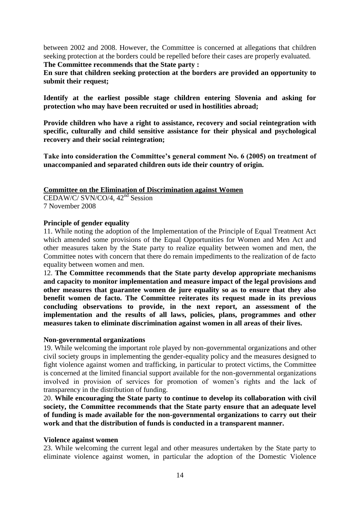between 2002 and 2008. However, the Committee is concerned at allegations that children seeking protection at the borders could be repelled before their cases are properly evaluated.

**The Committee recommends that the State party :**

**En sure that children seeking protection at the borders are provided an opportunity to submit their request;**

**Identify at the earliest possible stage children entering Slovenia and asking for protection who may have been recruited or used in hostilities abroad;**

**Provide children who have a right to assistance, recovery and social reintegration with specific, culturally and child sensitive assistance for their physical and psychological recovery and their social reintegration;**

**Take into consideration the Committee's general comment No. 6 (2005) on treatment of unaccompanied and separated children outs ide their country of origin.**

## **Committee on the Elimination of Discrimination against Women**

CEDAW/C/ SVN/CO/4, 42nd Session 7 November 2008

## **Principle of gender equality**

11. While noting the adoption of the Implementation of the Principle of Equal Treatment Act which amended some provisions of the Equal Opportunities for Women and Men Act and other measures taken by the State party to realize equality between women and men, the Committee notes with concern that there do remain impediments to the realization of de facto equality between women and men.

12. **The Committee recommends that the State party develop appropriate mechanisms and capacity to monitor implementation and measure impact of the legal provisions and other measures that guarantee women de jure equality so as to ensure that they also benefit women de facto. The Committee reiterates its request made in its previous concluding observations to provide, in the next report, an assessment of the implementation and the results of all laws, policies, plans, programmes and other measures taken to eliminate discrimination against women in all areas of their lives.**

# **Non-governmental organizations**

19. While welcoming the important role played by non-governmental organizations and other civil society groups in implementing the gender-equality policy and the measures designed to fight violence against women and trafficking, in particular to protect victims, the Committee is concerned at the limited financial support available for the non-governmental organizations involved in provision of services for promotion of women's rights and the lack of transparency in the distribution of funding.

20. **While encouraging the State party to continue to develop its collaboration with civil society, the Committee recommends that the State party ensure that an adequate level of funding is made available for the non-governmental organizations to carry out their work and that the distribution of funds is conducted in a transparent manner.**

#### **Violence against women**

23. While welcoming the current legal and other measures undertaken by the State party to eliminate violence against women, in particular the adoption of the Domestic Violence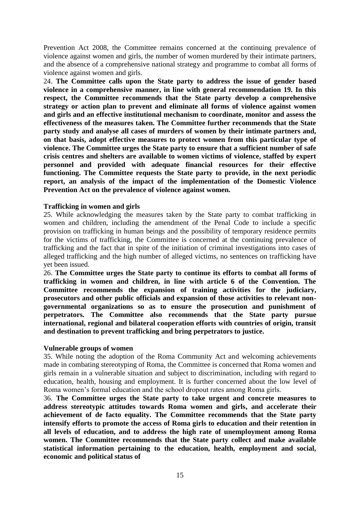Prevention Act 2008, the Committee remains concerned at the continuing prevalence of violence against women and girls, the number of women murdered by their intimate partners, and the absence of a comprehensive national strategy and programme to combat all forms of violence against women and girls.

24. **The Committee calls upon the State party to address the issue of gender based violence in a comprehensive manner, in line with general recommendation 19. In this respect, the Committee recommends that the State party develop a comprehensive strategy or action plan to prevent and eliminate all forms of violence against women and girls and an effective institutional mechanism to coordinate, monitor and assess the effectiveness of the measures taken. The Committee further recommends that the State party study and analyse all cases of murders of women by their intimate partners and, on that basis, adopt effective measures to protect women from this particular type of violence. The Committee urges the State party to ensure that a sufficient number of safe crisis centres and shelters are available to women victims of violence, staffed by expert personnel and provided with adequate financial resources for their effective functioning. The Committee requests the State party to provide, in the next periodic report, an analysis of the impact of the implementation of the Domestic Violence Prevention Act on the prevalence of violence against women.**

#### **Trafficking in women and girls**

25. While acknowledging the measures taken by the State party to combat trafficking in women and children, including the amendment of the Penal Code to include a specific provision on trafficking in human beings and the possibility of temporary residence permits for the victims of trafficking, the Committee is concerned at the continuing prevalence of trafficking and the fact that in spite of the initiation of criminal investigations into cases of alleged trafficking and the high number of alleged victims, no sentences on trafficking have yet been issued.

26. **The Committee urges the State party to continue its efforts to combat all forms of trafficking in women and children, in line with article 6 of the Convention. The Committee recommends the expansion of training activities for the judiciary, prosecutors and other public officials and expansion of those activities to relevant nongovernmental organizations so as to ensure the prosecution and punishment of perpetrators. The Committee also recommends that the State party pursue international, regional and bilateral cooperation efforts with countries of origin, transit and destination to prevent trafficking and bring perpetrators to justice.**

#### **Vulnerable groups of women**

35. While noting the adoption of the Roma Community Act and welcoming achievements made in combating stereotyping of Roma, the Committee is concerned that Roma women and girls remain in a vulnerable situation and subject to discrimination, including with regard to education, health, housing and employment. It is further concerned about the low level of Roma women's formal education and the school dropout rates among Roma girls.

36. **The Committee urges the State party to take urgent and concrete measures to address stereotypic attitudes towards Roma women and girls, and accelerate their achievement of de facto equality. The Committee recommends that the State party intensify efforts to promote the access of Roma girls to education and their retention in all levels of education, and to address the high rate of unemployment among Roma women. The Committee recommends that the State party collect and make available statistical information pertaining to the education, health, employment and social, economic and political status of**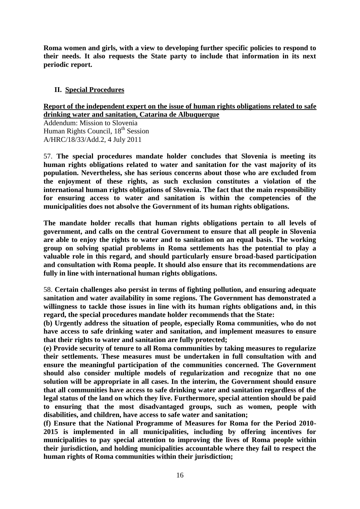**Roma women and girls, with a view to developing further specific policies to respond to their needs. It also requests the State party to include that information in its next periodic report.**

# **II. Special Procedures**

#### **Report of the independent expert on the issue of human rights obligations related to safe drinking water and sanitation, Catarina de Albuquerque**

Addendum: Mission to Slovenia Human Rights Council, 18<sup>th</sup> Session A/HRC/18/33/Add.2, 4 July 2011

57. **The special procedures mandate holder concludes that Slovenia is meeting its human rights obligations related to water and sanitation for the vast majority of its population. Nevertheless, she has serious concerns about those who are excluded from the enjoyment of these rights, as such exclusion constitutes a violation of the international human rights obligations of Slovenia. The fact that the main responsibility for ensuring access to water and sanitation is within the competencies of the municipalities does not absolve the Government of its human rights obligations.**

**The mandate holder recalls that human rights obligations pertain to all levels of government, and calls on the central Government to ensure that all people in Slovenia are able to enjoy the rights to water and to sanitation on an equal basis. The working group on solving spatial problems in Roma settlements has the potential to play a valuable role in this regard, and should particularly ensure broad-based participation and consultation with Roma people. It should also ensure that its recommendations are fully in line with international human rights obligations.**

58. **Certain challenges also persist in terms of fighting pollution, and ensuring adequate sanitation and water availability in some regions. The Government has demonstrated a willingness to tackle those issues in line with its human rights obligations and, in this regard, the special procedures mandate holder recommends that the State:**

**(b) Urgently address the situation of people, especially Roma communities, who do not have access to safe drinking water and sanitation, and implement measures to ensure that their rights to water and sanitation are fully protected;**

**(e) Provide security of tenure to all Roma communities by taking measures to regularize their settlements. These measures must be undertaken in full consultation with and ensure the meaningful participation of the communities concerned. The Government should also consider multiple models of regularization and recognize that no one solution will be appropriate in all cases. In the interim, the Government should ensure that all communities have access to safe drinking water and sanitation regardless of the legal status of the land on which they live. Furthermore, special attention should be paid to ensuring that the most disadvantaged groups, such as women, people with disabilities, and children, have access to safe water and sanitation;**

**(f) Ensure that the National Programme of Measures for Roma for the Period 2010- 2015 is implemented in all municipalities, including by offering incentives for municipalities to pay special attention to improving the lives of Roma people within their jurisdiction, and holding municipalities accountable where they fail to respect the human rights of Roma communities within their jurisdiction;**